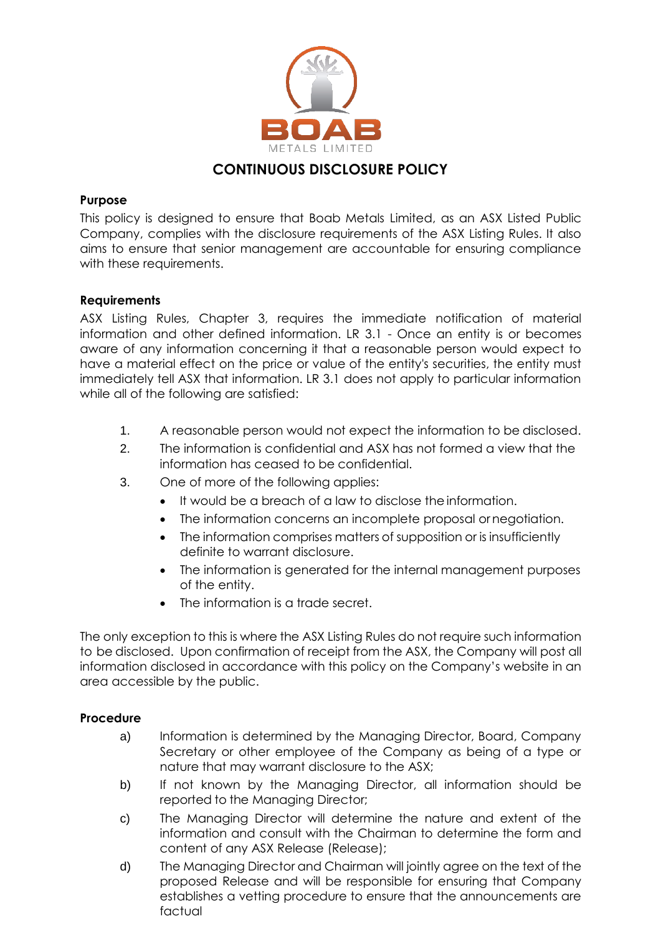

# **CONTINUOUS DISCLOSURE POLICY**

## **Purpose**

This policy is designed to ensure that Boab Metals Limited, as an ASX Listed Public Company, complies with the disclosure requirements of the ASX Listing Rules. It also aims to ensure that senior management are accountable for ensuring compliance with these requirements.

## **Requirements**

ASX Listing Rules, Chapter 3, requires the immediate notification of material information and other defined information. LR 3.1 - Once an entity is or becomes aware of any information concerning it that a reasonable person would expect to have a material effect on the price or value of the entity's securities, the entity must immediately tell ASX that information. LR 3.1 does not apply to particular information while all of the following are satisfied:

- 1. A reasonable person would not expect the information to be disclosed.
- 2. The information is confidential and ASX has not formed a view that the information has ceased to be confidential.
- 3. One of more of the following applies:
	- It would be a breach of a law to disclose the information.
	- The information concerns an incomplete proposal or negotiation.
	- The information comprises matters of supposition or is insufficiently definite to warrant disclosure.
	- The information is generated for the internal management purposes of the entity.
	- The information is a trade secret.

The only exception to this is where the ASX Listing Rules do not require such information to be disclosed. Upon confirmation of receipt from the ASX, the Company will post all information disclosed in accordance with this policy on the Company's website in an area accessible by the public.

### **Procedure**

- a) Information is determined by the Managing Director, Board, Company Secretary or other employee of the Company as being of a type or nature that may warrant disclosure to the ASX;
- b) If not known by the Managing Director, all information should be reported to the Managing Director;
- c) The Managing Director will determine the nature and extent of the information and consult with the Chairman to determine the form and content of any ASX Release (Release);
- d) The Managing Director and Chairman will jointly agree on the text of the proposed Release and will be responsible for ensuring that Company establishes a vetting procedure to ensure that the announcements are factual